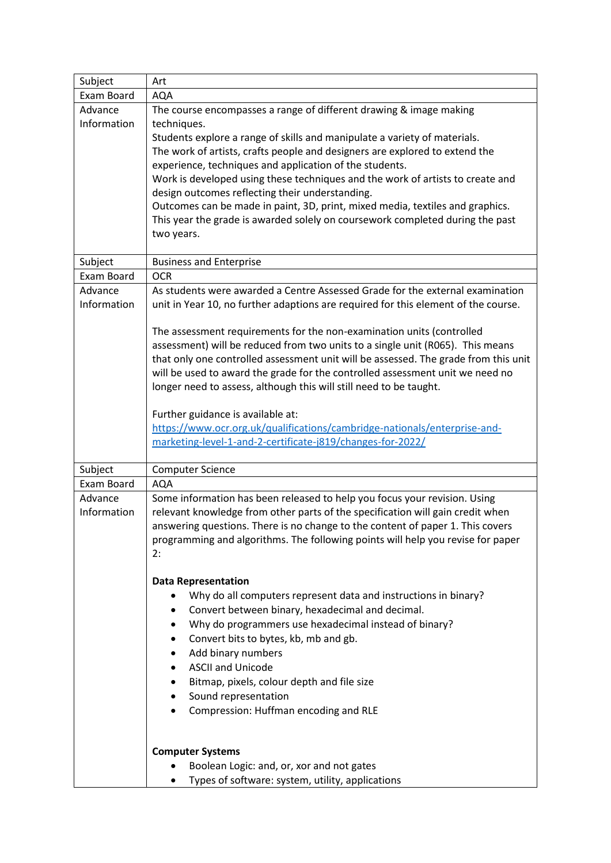| Subject                | Art                                                                                                                                                                                                                                                                                                                                                                                                                                                                                                                                                                                                                           |  |
|------------------------|-------------------------------------------------------------------------------------------------------------------------------------------------------------------------------------------------------------------------------------------------------------------------------------------------------------------------------------------------------------------------------------------------------------------------------------------------------------------------------------------------------------------------------------------------------------------------------------------------------------------------------|--|
| Exam Board             | <b>AQA</b>                                                                                                                                                                                                                                                                                                                                                                                                                                                                                                                                                                                                                    |  |
| Advance<br>Information | The course encompasses a range of different drawing & image making<br>techniques.<br>Students explore a range of skills and manipulate a variety of materials.<br>The work of artists, crafts people and designers are explored to extend the<br>experience, techniques and application of the students.<br>Work is developed using these techniques and the work of artists to create and<br>design outcomes reflecting their understanding.<br>Outcomes can be made in paint, 3D, print, mixed media, textiles and graphics.<br>This year the grade is awarded solely on coursework completed during the past<br>two years. |  |
| Subject                | <b>Business and Enterprise</b>                                                                                                                                                                                                                                                                                                                                                                                                                                                                                                                                                                                                |  |
| Exam Board             | <b>OCR</b>                                                                                                                                                                                                                                                                                                                                                                                                                                                                                                                                                                                                                    |  |
| Advance<br>Information | As students were awarded a Centre Assessed Grade for the external examination<br>unit in Year 10, no further adaptions are required for this element of the course.                                                                                                                                                                                                                                                                                                                                                                                                                                                           |  |
|                        | The assessment requirements for the non-examination units (controlled<br>assessment) will be reduced from two units to a single unit (R065). This means<br>that only one controlled assessment unit will be assessed. The grade from this unit<br>will be used to award the grade for the controlled assessment unit we need no<br>longer need to assess, although this will still need to be taught.                                                                                                                                                                                                                         |  |
|                        | Further guidance is available at:<br>https://www.ocr.org.uk/qualifications/cambridge-nationals/enterprise-and-<br>marketing-level-1-and-2-certificate-j819/changes-for-2022/                                                                                                                                                                                                                                                                                                                                                                                                                                                  |  |
| Subject                | <b>Computer Science</b>                                                                                                                                                                                                                                                                                                                                                                                                                                                                                                                                                                                                       |  |
| Exam Board             | <b>AQA</b>                                                                                                                                                                                                                                                                                                                                                                                                                                                                                                                                                                                                                    |  |
| Advance<br>Information | Some information has been released to help you focus your revision. Using<br>relevant knowledge from other parts of the specification will gain credit when<br>answering questions. There is no change to the content of paper 1. This covers<br>programming and algorithms. The following points will help you revise for paper<br>2:                                                                                                                                                                                                                                                                                        |  |
|                        | <b>Data Representation</b>                                                                                                                                                                                                                                                                                                                                                                                                                                                                                                                                                                                                    |  |
|                        | Why do all computers represent data and instructions in binary?                                                                                                                                                                                                                                                                                                                                                                                                                                                                                                                                                               |  |
|                        | Convert between binary, hexadecimal and decimal.                                                                                                                                                                                                                                                                                                                                                                                                                                                                                                                                                                              |  |
|                        | Why do programmers use hexadecimal instead of binary?<br>٠                                                                                                                                                                                                                                                                                                                                                                                                                                                                                                                                                                    |  |
|                        | Convert bits to bytes, kb, mb and gb.<br>٠                                                                                                                                                                                                                                                                                                                                                                                                                                                                                                                                                                                    |  |
|                        | Add binary numbers                                                                                                                                                                                                                                                                                                                                                                                                                                                                                                                                                                                                            |  |
|                        | <b>ASCII and Unicode</b>                                                                                                                                                                                                                                                                                                                                                                                                                                                                                                                                                                                                      |  |
|                        | Bitmap, pixels, colour depth and file size                                                                                                                                                                                                                                                                                                                                                                                                                                                                                                                                                                                    |  |
|                        | Sound representation                                                                                                                                                                                                                                                                                                                                                                                                                                                                                                                                                                                                          |  |
|                        | Compression: Huffman encoding and RLE<br>٠                                                                                                                                                                                                                                                                                                                                                                                                                                                                                                                                                                                    |  |
|                        | <b>Computer Systems</b>                                                                                                                                                                                                                                                                                                                                                                                                                                                                                                                                                                                                       |  |
|                        | Boolean Logic: and, or, xor and not gates<br>٠                                                                                                                                                                                                                                                                                                                                                                                                                                                                                                                                                                                |  |
|                        | Types of software: system, utility, applications                                                                                                                                                                                                                                                                                                                                                                                                                                                                                                                                                                              |  |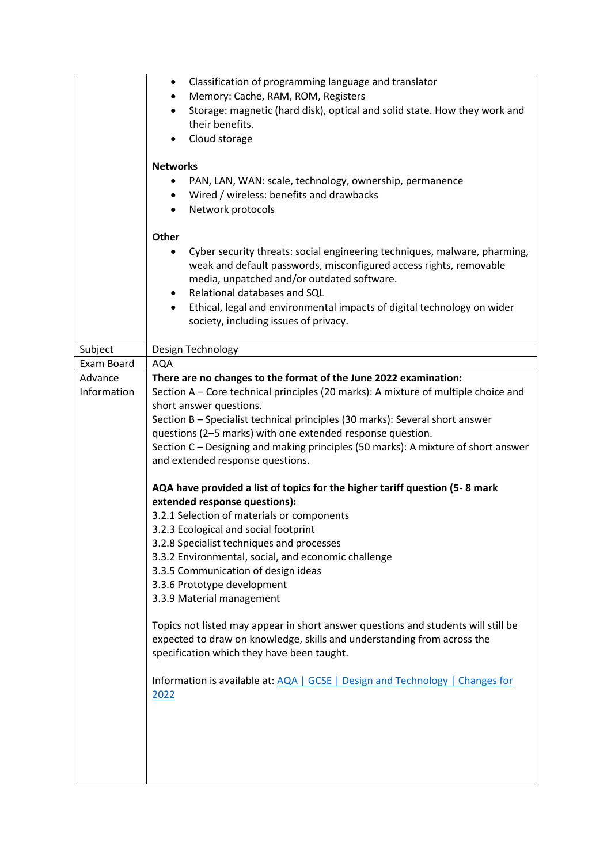|                        | Classification of programming language and translator<br>٠<br>Memory: Cache, RAM, ROM, Registers<br>٠<br>Storage: magnetic (hard disk), optical and solid state. How they work and<br>their benefits.<br>Cloud storage<br><b>Networks</b><br>PAN, LAN, WAN: scale, technology, ownership, permanence<br>Wired / wireless: benefits and drawbacks<br>Network protocols<br>Other                                                                                                                                                                                                                                                                                                                                                                                                                                                                                                                                                                                                                                                                                                                                                                                                |
|------------------------|-------------------------------------------------------------------------------------------------------------------------------------------------------------------------------------------------------------------------------------------------------------------------------------------------------------------------------------------------------------------------------------------------------------------------------------------------------------------------------------------------------------------------------------------------------------------------------------------------------------------------------------------------------------------------------------------------------------------------------------------------------------------------------------------------------------------------------------------------------------------------------------------------------------------------------------------------------------------------------------------------------------------------------------------------------------------------------------------------------------------------------------------------------------------------------|
|                        | Cyber security threats: social engineering techniques, malware, pharming,<br>weak and default passwords, misconfigured access rights, removable<br>media, unpatched and/or outdated software.<br>Relational databases and SQL<br>٠<br>Ethical, legal and environmental impacts of digital technology on wider<br>$\bullet$<br>society, including issues of privacy.                                                                                                                                                                                                                                                                                                                                                                                                                                                                                                                                                                                                                                                                                                                                                                                                           |
|                        |                                                                                                                                                                                                                                                                                                                                                                                                                                                                                                                                                                                                                                                                                                                                                                                                                                                                                                                                                                                                                                                                                                                                                                               |
| Subject                | Design Technology                                                                                                                                                                                                                                                                                                                                                                                                                                                                                                                                                                                                                                                                                                                                                                                                                                                                                                                                                                                                                                                                                                                                                             |
| Exam Board             | AQA                                                                                                                                                                                                                                                                                                                                                                                                                                                                                                                                                                                                                                                                                                                                                                                                                                                                                                                                                                                                                                                                                                                                                                           |
| Advance<br>Information | There are no changes to the format of the June 2022 examination:<br>Section A – Core technical principles (20 marks): A mixture of multiple choice and<br>short answer questions.<br>Section B - Specialist technical principles (30 marks): Several short answer<br>questions (2-5 marks) with one extended response question.<br>Section C - Designing and making principles (50 marks): A mixture of short answer<br>and extended response questions.<br>AQA have provided a list of topics for the higher tariff question (5-8 mark<br>extended response questions):<br>3.2.1 Selection of materials or components<br>3.2.3 Ecological and social footprint<br>3.2.8 Specialist techniques and processes<br>3.3.2 Environmental, social, and economic challenge<br>3.3.5 Communication of design ideas<br>3.3.6 Prototype development<br>3.3.9 Material management<br>Topics not listed may appear in short answer questions and students will still be<br>expected to draw on knowledge, skills and understanding from across the<br>specification which they have been taught.<br>Information is available at: AQA   GCSE   Design and Technology   Changes for<br>2022 |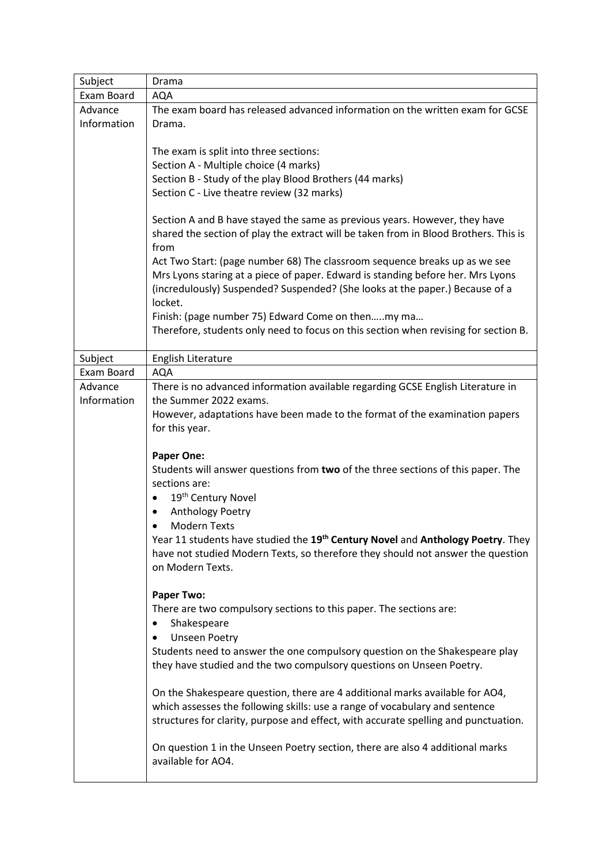| Subject                | Drama                                                                                                                                                                                                                                                                                                                                                                                          |  |  |
|------------------------|------------------------------------------------------------------------------------------------------------------------------------------------------------------------------------------------------------------------------------------------------------------------------------------------------------------------------------------------------------------------------------------------|--|--|
| Exam Board             | <b>AQA</b>                                                                                                                                                                                                                                                                                                                                                                                     |  |  |
| Advance<br>Information | The exam board has released advanced information on the written exam for GCSE<br>Drama.                                                                                                                                                                                                                                                                                                        |  |  |
|                        | The exam is split into three sections:<br>Section A - Multiple choice (4 marks)<br>Section B - Study of the play Blood Brothers (44 marks)<br>Section C - Live theatre review (32 marks)                                                                                                                                                                                                       |  |  |
|                        | Section A and B have stayed the same as previous years. However, they have<br>shared the section of play the extract will be taken from in Blood Brothers. This is<br>from                                                                                                                                                                                                                     |  |  |
|                        | Act Two Start: (page number 68) The classroom sequence breaks up as we see<br>Mrs Lyons staring at a piece of paper. Edward is standing before her. Mrs Lyons<br>(incredulously) Suspended? Suspended? (She looks at the paper.) Because of a<br>locket.                                                                                                                                       |  |  |
|                        | Finish: (page number 75) Edward Come on thenmy ma<br>Therefore, students only need to focus on this section when revising for section B.                                                                                                                                                                                                                                                       |  |  |
| Subject                | English Literature                                                                                                                                                                                                                                                                                                                                                                             |  |  |
| Exam Board             | <b>AQA</b>                                                                                                                                                                                                                                                                                                                                                                                     |  |  |
| Advance<br>Information | There is no advanced information available regarding GCSE English Literature in<br>the Summer 2022 exams.<br>However, adaptations have been made to the format of the examination papers<br>for this year.                                                                                                                                                                                     |  |  |
|                        | <b>Paper One:</b><br>Students will answer questions from two of the three sections of this paper. The<br>sections are:<br>19 <sup>th</sup> Century Novel<br>Anthology Poetry<br><b>Modern Texts</b><br>Year 11 students have studied the 19 <sup>th</sup> Century Novel and Anthology Poetry. They<br>have not studied Modern Texts, so therefore they should not answer the question          |  |  |
|                        | on Modern Texts.<br><b>Paper Two:</b><br>There are two compulsory sections to this paper. The sections are:<br>Shakespeare<br><b>Unseen Poetry</b><br>٠<br>Students need to answer the one compulsory question on the Shakespeare play<br>they have studied and the two compulsory questions on Unseen Poetry.<br>On the Shakespeare question, there are 4 additional marks available for AO4, |  |  |
|                        | which assesses the following skills: use a range of vocabulary and sentence<br>structures for clarity, purpose and effect, with accurate spelling and punctuation.<br>On question 1 in the Unseen Poetry section, there are also 4 additional marks<br>available for AO4.                                                                                                                      |  |  |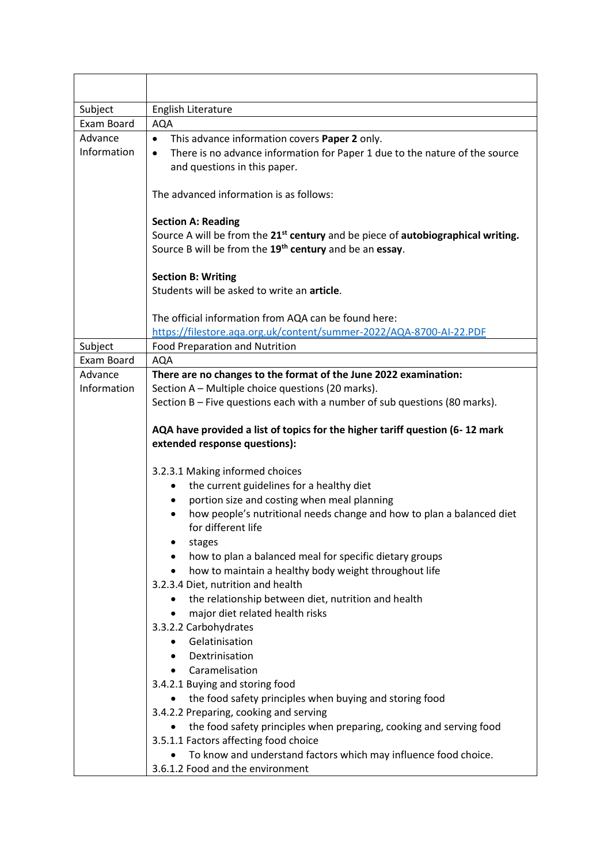| Subject                                                               | English Literature                                                                                                                                                  |  |
|-----------------------------------------------------------------------|---------------------------------------------------------------------------------------------------------------------------------------------------------------------|--|
| Exam Board                                                            | <b>AQA</b>                                                                                                                                                          |  |
| Advance<br>This advance information covers Paper 2 only.<br>$\bullet$ |                                                                                                                                                                     |  |
| Information                                                           | There is no advance information for Paper 1 due to the nature of the source<br>$\bullet$<br>and questions in this paper.                                            |  |
|                                                                       | The advanced information is as follows:                                                                                                                             |  |
|                                                                       | <b>Section A: Reading</b>                                                                                                                                           |  |
|                                                                       | Source A will be from the 21 <sup>st</sup> century and be piece of autobiographical writing.<br>Source B will be from the 19 <sup>th</sup> century and be an essay. |  |
|                                                                       | <b>Section B: Writing</b>                                                                                                                                           |  |
|                                                                       | Students will be asked to write an article.                                                                                                                         |  |
|                                                                       | The official information from AQA can be found here:                                                                                                                |  |
|                                                                       | https://filestore.aga.org.uk/content/summer-2022/AQA-8700-AI-22.PDF                                                                                                 |  |
| Subject                                                               | <b>Food Preparation and Nutrition</b>                                                                                                                               |  |
| Exam Board                                                            | <b>AQA</b>                                                                                                                                                          |  |
| Advance                                                               | There are no changes to the format of the June 2022 examination:                                                                                                    |  |
| Information                                                           | Section A - Multiple choice questions (20 marks).                                                                                                                   |  |
|                                                                       | Section B - Five questions each with a number of sub questions (80 marks).                                                                                          |  |
|                                                                       | AQA have provided a list of topics for the higher tariff question (6-12 mark<br>extended response questions):                                                       |  |
|                                                                       | 3.2.3.1 Making informed choices                                                                                                                                     |  |
|                                                                       | the current guidelines for a healthy diet<br>٠                                                                                                                      |  |
|                                                                       | portion size and costing when meal planning<br>٠                                                                                                                    |  |
|                                                                       | how people's nutritional needs change and how to plan a balanced diet<br>for different life                                                                         |  |
|                                                                       | stages                                                                                                                                                              |  |
|                                                                       | how to plan a balanced meal for specific dietary groups                                                                                                             |  |
|                                                                       | how to maintain a healthy body weight throughout life<br>$\bullet$<br>3.2.3.4 Diet, nutrition and health                                                            |  |
|                                                                       | the relationship between diet, nutrition and health                                                                                                                 |  |
|                                                                       | major diet related health risks<br>$\bullet$                                                                                                                        |  |
|                                                                       | 3.3.2.2 Carbohydrates                                                                                                                                               |  |
|                                                                       | Gelatinisation                                                                                                                                                      |  |
|                                                                       | Dextrinisation<br>$\bullet$                                                                                                                                         |  |
|                                                                       | Caramelisation<br>$\bullet$                                                                                                                                         |  |
|                                                                       | 3.4.2.1 Buying and storing food                                                                                                                                     |  |
|                                                                       | the food safety principles when buying and storing food<br>٠                                                                                                        |  |
|                                                                       | 3.4.2.2 Preparing, cooking and serving                                                                                                                              |  |
|                                                                       | the food safety principles when preparing, cooking and serving food<br>3.5.1.1 Factors affecting food choice                                                        |  |
|                                                                       | To know and understand factors which may influence food choice.<br>$\bullet$                                                                                        |  |
|                                                                       | 3.6.1.2 Food and the environment                                                                                                                                    |  |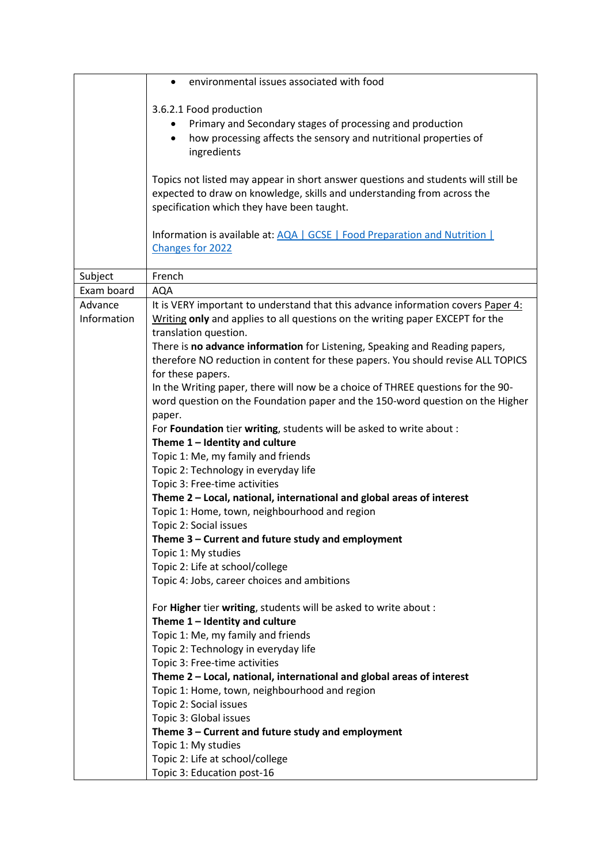|             | environmental issues associated with food                                                              |
|-------------|--------------------------------------------------------------------------------------------------------|
|             | 3.6.2.1 Food production                                                                                |
|             | Primary and Secondary stages of processing and production                                              |
|             | how processing affects the sensory and nutritional properties of<br>$\bullet$                          |
|             | ingredients                                                                                            |
|             |                                                                                                        |
|             | Topics not listed may appear in short answer questions and students will still be                      |
|             | expected to draw on knowledge, skills and understanding from across the                                |
|             | specification which they have been taught.                                                             |
|             |                                                                                                        |
|             | Information is available at: AQA   GCSE   Food Preparation and Nutrition                               |
|             | Changes for 2022                                                                                       |
|             |                                                                                                        |
| Subject     | French                                                                                                 |
| Exam board  | <b>AQA</b>                                                                                             |
| Advance     | It is VERY important to understand that this advance information covers Paper 4:                       |
| Information | Writing only and applies to all questions on the writing paper EXCEPT for the                          |
|             | translation question.                                                                                  |
|             | There is no advance information for Listening, Speaking and Reading papers,                            |
|             | therefore NO reduction in content for these papers. You should revise ALL TOPICS                       |
|             | for these papers.                                                                                      |
|             | In the Writing paper, there will now be a choice of THREE questions for the 90-                        |
|             | word question on the Foundation paper and the 150-word question on the Higher                          |
|             | paper.                                                                                                 |
|             | For Foundation tier writing, students will be asked to write about :                                   |
|             | Theme $1$ – Identity and culture                                                                       |
|             | Topic 1: Me, my family and friends                                                                     |
|             | Topic 2: Technology in everyday life                                                                   |
|             | Topic 3: Free-time activities<br>Theme 2 - Local, national, international and global areas of interest |
|             | Topic 1: Home, town, neighbourhood and region                                                          |
|             | Topic 2: Social issues                                                                                 |
|             | Theme 3 - Current and future study and employment                                                      |
|             | Topic 1: My studies                                                                                    |
|             | Topic 2: Life at school/college                                                                        |
|             | Topic 4: Jobs, career choices and ambitions                                                            |
|             |                                                                                                        |
|             | For Higher tier writing, students will be asked to write about :                                       |
|             | Theme $1$ – Identity and culture                                                                       |
|             | Topic 1: Me, my family and friends                                                                     |
|             | Topic 2: Technology in everyday life                                                                   |
|             | Topic 3: Free-time activities                                                                          |
|             | Theme 2 - Local, national, international and global areas of interest                                  |
|             | Topic 1: Home, town, neighbourhood and region                                                          |
|             | Topic 2: Social issues                                                                                 |
|             | Topic 3: Global issues                                                                                 |
|             | Theme 3 - Current and future study and employment                                                      |
|             | Topic 1: My studies                                                                                    |
|             | Topic 2: Life at school/college                                                                        |
|             | Topic 3: Education post-16                                                                             |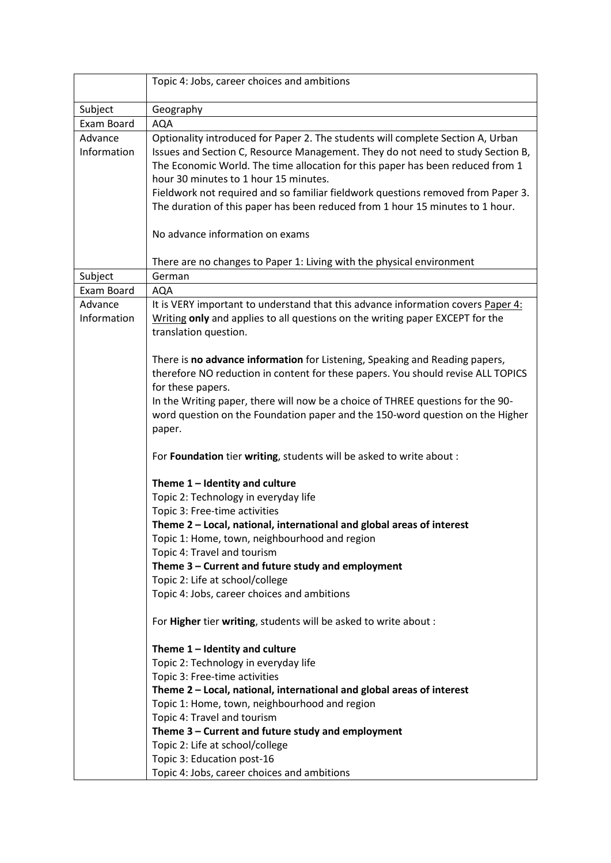|                        | Topic 4: Jobs, career choices and ambitions                                                                                                                                                                                                                                                                                                                                                                                                                        |  |
|------------------------|--------------------------------------------------------------------------------------------------------------------------------------------------------------------------------------------------------------------------------------------------------------------------------------------------------------------------------------------------------------------------------------------------------------------------------------------------------------------|--|
| Subject                | Geography                                                                                                                                                                                                                                                                                                                                                                                                                                                          |  |
| Exam Board             | <b>AQA</b>                                                                                                                                                                                                                                                                                                                                                                                                                                                         |  |
| Advance<br>Information | Optionality introduced for Paper 2. The students will complete Section A, Urban<br>Issues and Section C, Resource Management. They do not need to study Section B,<br>The Economic World. The time allocation for this paper has been reduced from 1<br>hour 30 minutes to 1 hour 15 minutes.<br>Fieldwork not required and so familiar fieldwork questions removed from Paper 3.<br>The duration of this paper has been reduced from 1 hour 15 minutes to 1 hour. |  |
|                        | No advance information on exams                                                                                                                                                                                                                                                                                                                                                                                                                                    |  |
|                        | There are no changes to Paper 1: Living with the physical environment                                                                                                                                                                                                                                                                                                                                                                                              |  |
| Subject                | German                                                                                                                                                                                                                                                                                                                                                                                                                                                             |  |
| Exam Board             | <b>AQA</b>                                                                                                                                                                                                                                                                                                                                                                                                                                                         |  |
| Advance<br>Information | It is VERY important to understand that this advance information covers Paper 4:<br>Writing only and applies to all questions on the writing paper EXCEPT for the<br>translation question.                                                                                                                                                                                                                                                                         |  |
|                        | There is no advance information for Listening, Speaking and Reading papers,<br>therefore NO reduction in content for these papers. You should revise ALL TOPICS<br>for these papers.<br>In the Writing paper, there will now be a choice of THREE questions for the 90-<br>word question on the Foundation paper and the 150-word question on the Higher<br>paper.                                                                                                 |  |
|                        | For Foundation tier writing, students will be asked to write about :                                                                                                                                                                                                                                                                                                                                                                                               |  |
|                        | Theme $1$ – Identity and culture<br>Topic 2: Technology in everyday life<br>Topic 3: Free-time activities<br>Theme 2 - Local, national, international and global areas of interest<br>Topic 1: Home, town, neighbourhood and region<br>Topic 4: Travel and tourism<br>Theme 3 - Current and future study and employment<br>Topic 2: Life at school/college<br>Topic 4: Jobs, career choices and ambitions                                                          |  |
|                        | For Higher tier writing, students will be asked to write about :                                                                                                                                                                                                                                                                                                                                                                                                   |  |
|                        | Theme $1$ – Identity and culture<br>Topic 2: Technology in everyday life<br>Topic 3: Free-time activities<br>Theme 2 - Local, national, international and global areas of interest<br>Topic 1: Home, town, neighbourhood and region<br>Topic 4: Travel and tourism<br>Theme 3 - Current and future study and employment<br>Topic 2: Life at school/college<br>Topic 3: Education post-16                                                                           |  |
|                        | Topic 4: Jobs, career choices and ambitions                                                                                                                                                                                                                                                                                                                                                                                                                        |  |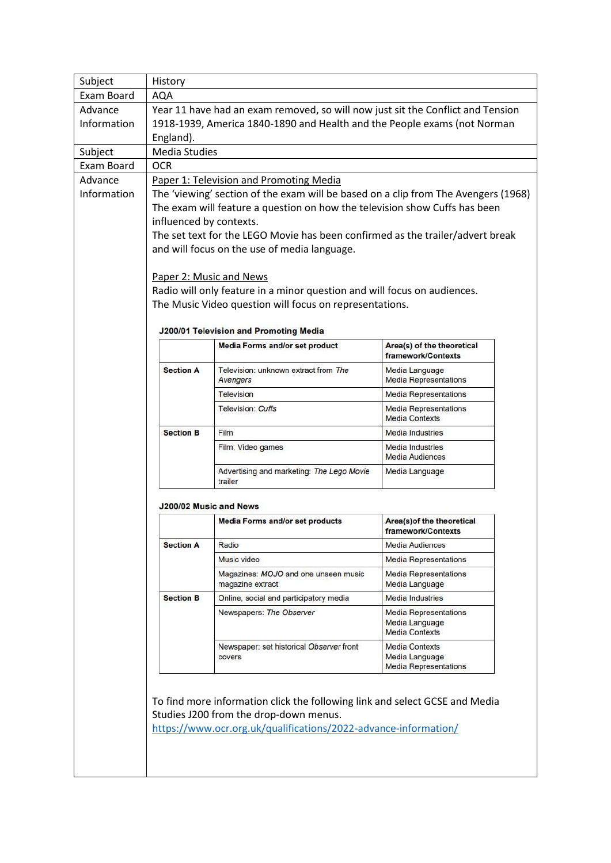| Exam Board<br>Advance<br>Information<br>Subject<br>Exam Board<br>Advance<br>Information | <b>AQA</b><br>England).<br><b>Media Studies</b><br><b>OCR</b>                  | Year 11 have had an exam removed, so will now just sit the Conflict and Tension<br>1918-1939, America 1840-1890 and Health and the People exams (not Norman |                                                                         |  |  |  |
|-----------------------------------------------------------------------------------------|--------------------------------------------------------------------------------|-------------------------------------------------------------------------------------------------------------------------------------------------------------|-------------------------------------------------------------------------|--|--|--|
|                                                                                         |                                                                                |                                                                                                                                                             |                                                                         |  |  |  |
|                                                                                         |                                                                                |                                                                                                                                                             |                                                                         |  |  |  |
|                                                                                         |                                                                                |                                                                                                                                                             |                                                                         |  |  |  |
|                                                                                         |                                                                                |                                                                                                                                                             |                                                                         |  |  |  |
|                                                                                         |                                                                                |                                                                                                                                                             |                                                                         |  |  |  |
|                                                                                         |                                                                                |                                                                                                                                                             |                                                                         |  |  |  |
|                                                                                         |                                                                                | Paper 1: Television and Promoting Media                                                                                                                     |                                                                         |  |  |  |
|                                                                                         |                                                                                | The 'viewing' section of the exam will be based on a clip from The Avengers (1968)                                                                          |                                                                         |  |  |  |
|                                                                                         | The exam will feature a question on how the television show Cuffs has been     |                                                                                                                                                             |                                                                         |  |  |  |
|                                                                                         | influenced by contexts.                                                        |                                                                                                                                                             |                                                                         |  |  |  |
|                                                                                         | The set text for the LEGO Movie has been confirmed as the trailer/advert break |                                                                                                                                                             |                                                                         |  |  |  |
|                                                                                         |                                                                                | and will focus on the use of media language.                                                                                                                |                                                                         |  |  |  |
|                                                                                         |                                                                                | Paper 2: Music and News                                                                                                                                     |                                                                         |  |  |  |
|                                                                                         |                                                                                | Radio will only feature in a minor question and will focus on audiences.                                                                                    |                                                                         |  |  |  |
|                                                                                         |                                                                                | The Music Video question will focus on representations.                                                                                                     |                                                                         |  |  |  |
|                                                                                         |                                                                                |                                                                                                                                                             |                                                                         |  |  |  |
|                                                                                         |                                                                                | J200/01 Television and Promoting Media                                                                                                                      |                                                                         |  |  |  |
|                                                                                         |                                                                                | <b>Media Forms and/or set product</b>                                                                                                                       | Area(s) of the theoretical<br>framework/Contexts                        |  |  |  |
|                                                                                         | <b>Section A</b>                                                               | Television: unknown extract from The<br>Avengers                                                                                                            | Media Language<br><b>Media Representations</b>                          |  |  |  |
|                                                                                         |                                                                                | <b>Television</b>                                                                                                                                           | <b>Media Representations</b>                                            |  |  |  |
|                                                                                         |                                                                                | <b>Television: Cuffs</b>                                                                                                                                    | <b>Media Representations</b><br><b>Media Contexts</b>                   |  |  |  |
|                                                                                         | <b>Section B</b>                                                               | Film                                                                                                                                                        | <b>Media Industries</b>                                                 |  |  |  |
|                                                                                         |                                                                                | Film, Video games                                                                                                                                           | <b>Media Industries</b><br><b>Media Audiences</b>                       |  |  |  |
|                                                                                         |                                                                                |                                                                                                                                                             |                                                                         |  |  |  |
|                                                                                         |                                                                                | Advertising and marketing: The Lego Movie<br>trailer                                                                                                        | Media Language                                                          |  |  |  |
|                                                                                         |                                                                                | J200/02 Music and News                                                                                                                                      |                                                                         |  |  |  |
|                                                                                         |                                                                                | <b>Media Forms and/or set products</b>                                                                                                                      | Area(s) of the theoretical<br>framework/Contexts                        |  |  |  |
|                                                                                         | <b>Section A</b>                                                               | Radio                                                                                                                                                       | <b>Media Audiences</b>                                                  |  |  |  |
|                                                                                         |                                                                                | Music video                                                                                                                                                 | <b>Media Representations</b>                                            |  |  |  |
|                                                                                         |                                                                                | Magazines: MOJO and one unseen music<br>magazine extract                                                                                                    | <b>Media Representations</b><br>Media Language                          |  |  |  |
|                                                                                         | <b>Section B</b>                                                               | Online, social and participatory media                                                                                                                      | <b>Media Industries</b>                                                 |  |  |  |
|                                                                                         |                                                                                | Newspapers: The Observer                                                                                                                                    | <b>Media Representations</b><br>Media Language<br><b>Media Contexts</b> |  |  |  |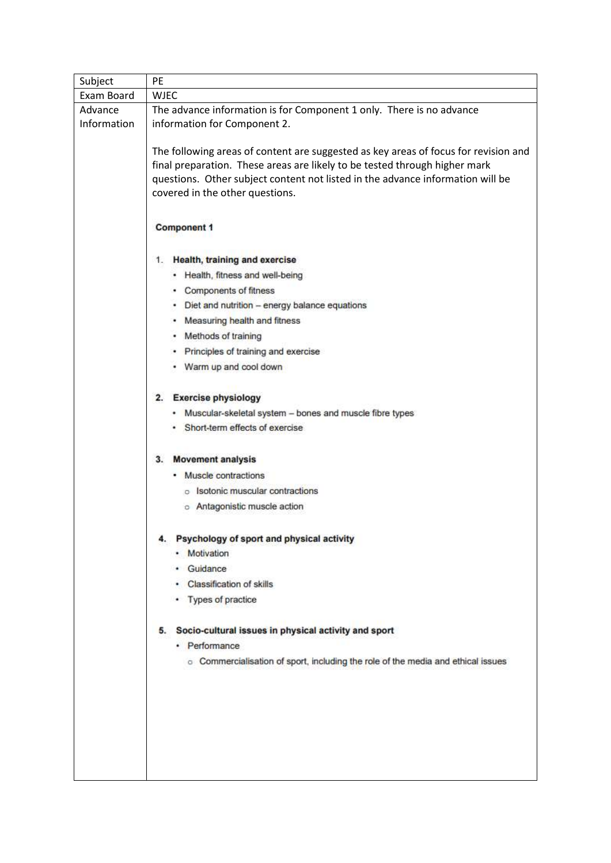| Subject                | <b>PE</b>                                                                                                                                                                                                                                                                                                                                                                                                                                                                                                                                                                                                                                                                                                                                                                                                                        |  |  |
|------------------------|----------------------------------------------------------------------------------------------------------------------------------------------------------------------------------------------------------------------------------------------------------------------------------------------------------------------------------------------------------------------------------------------------------------------------------------------------------------------------------------------------------------------------------------------------------------------------------------------------------------------------------------------------------------------------------------------------------------------------------------------------------------------------------------------------------------------------------|--|--|
| Exam Board             | <b>WJEC</b>                                                                                                                                                                                                                                                                                                                                                                                                                                                                                                                                                                                                                                                                                                                                                                                                                      |  |  |
| Advance<br>Information | The advance information is for Component 1 only. There is no advance<br>information for Component 2.                                                                                                                                                                                                                                                                                                                                                                                                                                                                                                                                                                                                                                                                                                                             |  |  |
|                        | The following areas of content are suggested as key areas of focus for revision and<br>final preparation. These areas are likely to be tested through higher mark<br>questions. Other subject content not listed in the advance information will be<br>covered in the other questions.                                                                                                                                                                                                                                                                                                                                                                                                                                                                                                                                           |  |  |
|                        | <b>Component 1</b>                                                                                                                                                                                                                                                                                                                                                                                                                                                                                                                                                                                                                                                                                                                                                                                                               |  |  |
|                        | 1. Health, training and exercise<br>• Health, fitness and well-being<br>• Components of fitness<br>Diet and nutrition - energy balance equations<br>Measuring health and fitness<br>• Methods of training<br>Principles of training and exercise<br>Warm up and cool down<br>2. Exercise physiology<br>Muscular-skeletal system - bones and muscle fibre types<br>Short-term effects of exercise<br><b>Movement analysis</b><br>3.<br>Muscle contractions<br>o Isotonic muscular contractions<br>o Antagonistic muscle action<br>4. Psychology of sport and physical activity<br>· Motivation<br>· Guidance<br>• Classification of skills<br>• Types of practice<br>5. Socio-cultural issues in physical activity and sport<br>• Performance<br>o Commercialisation of sport, including the role of the media and ethical issues |  |  |
|                        |                                                                                                                                                                                                                                                                                                                                                                                                                                                                                                                                                                                                                                                                                                                                                                                                                                  |  |  |